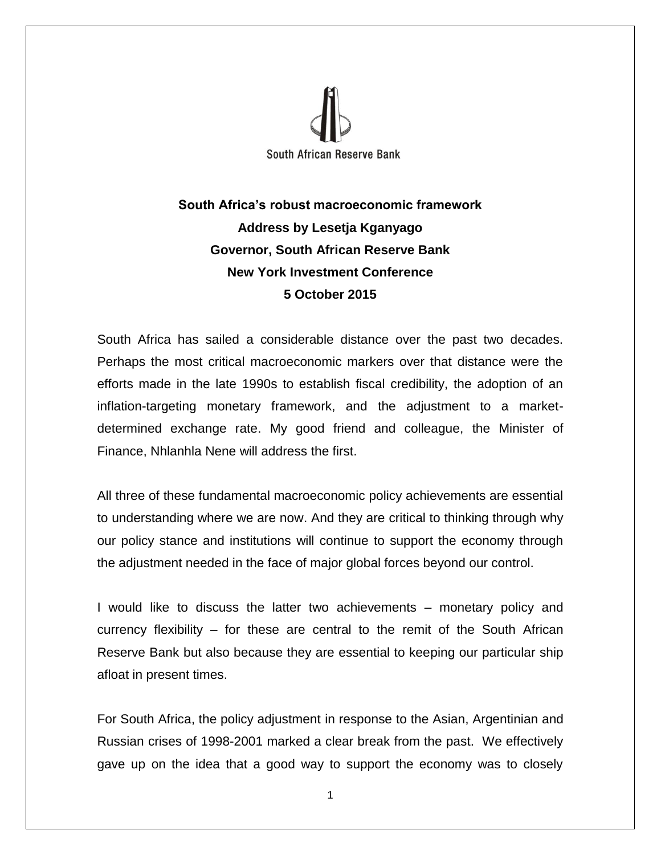

# **South Africa's robust macroeconomic framework Address by Lesetja Kganyago Governor, South African Reserve Bank New York Investment Conference 5 October 2015**

South Africa has sailed a considerable distance over the past two decades. Perhaps the most critical macroeconomic markers over that distance were the efforts made in the late 1990s to establish fiscal credibility, the adoption of an inflation-targeting monetary framework, and the adjustment to a marketdetermined exchange rate. My good friend and colleague, the Minister of Finance, Nhlanhla Nene will address the first.

All three of these fundamental macroeconomic policy achievements are essential to understanding where we are now. And they are critical to thinking through why our policy stance and institutions will continue to support the economy through the adjustment needed in the face of major global forces beyond our control.

I would like to discuss the latter two achievements – monetary policy and currency flexibility – for these are central to the remit of the South African Reserve Bank but also because they are essential to keeping our particular ship afloat in present times.

For South Africa, the policy adjustment in response to the Asian, Argentinian and Russian crises of 1998-2001 marked a clear break from the past. We effectively gave up on the idea that a good way to support the economy was to closely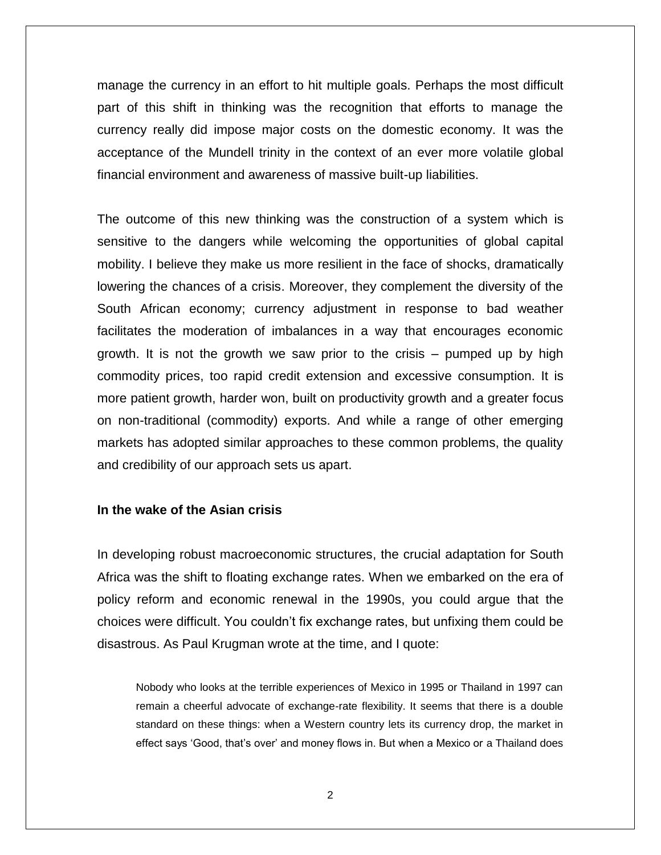manage the currency in an effort to hit multiple goals. Perhaps the most difficult part of this shift in thinking was the recognition that efforts to manage the currency really did impose major costs on the domestic economy. It was the acceptance of the Mundell trinity in the context of an ever more volatile global financial environment and awareness of massive built-up liabilities.

The outcome of this new thinking was the construction of a system which is sensitive to the dangers while welcoming the opportunities of global capital mobility. I believe they make us more resilient in the face of shocks, dramatically lowering the chances of a crisis. Moreover, they complement the diversity of the South African economy; currency adjustment in response to bad weather facilitates the moderation of imbalances in a way that encourages economic growth. It is not the growth we saw prior to the crisis – pumped up by high commodity prices, too rapid credit extension and excessive consumption. It is more patient growth, harder won, built on productivity growth and a greater focus on non-traditional (commodity) exports. And while a range of other emerging markets has adopted similar approaches to these common problems, the quality and credibility of our approach sets us apart.

### **In the wake of the Asian crisis**

In developing robust macroeconomic structures, the crucial adaptation for South Africa was the shift to floating exchange rates. When we embarked on the era of policy reform and economic renewal in the 1990s, you could argue that the choices were difficult. You couldn't fix exchange rates, but unfixing them could be disastrous. As Paul Krugman wrote at the time, and I quote:

Nobody who looks at the terrible experiences of Mexico in 1995 or Thailand in 1997 can remain a cheerful advocate of exchange-rate flexibility. It seems that there is a double standard on these things: when a Western country lets its currency drop, the market in effect says 'Good, that's over' and money flows in. But when a Mexico or a Thailand does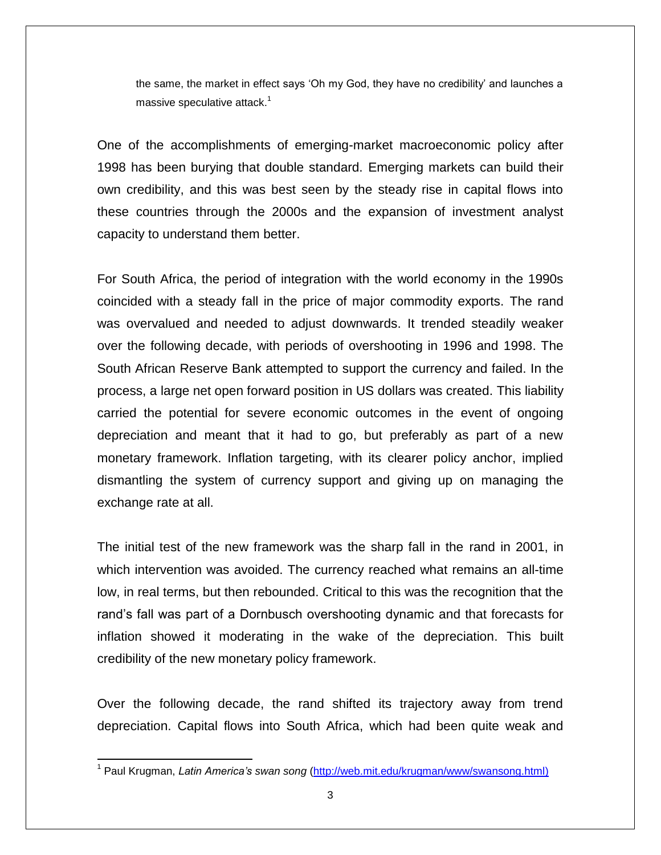the same, the market in effect says 'Oh my God, they have no credibility' and launches a massive speculative attack. $1$ 

One of the accomplishments of emerging-market macroeconomic policy after 1998 has been burying that double standard. Emerging markets can build their own credibility, and this was best seen by the steady rise in capital flows into these countries through the 2000s and the expansion of investment analyst capacity to understand them better.

For South Africa, the period of integration with the world economy in the 1990s coincided with a steady fall in the price of major commodity exports. The rand was overvalued and needed to adjust downwards. It trended steadily weaker over the following decade, with periods of overshooting in 1996 and 1998. The South African Reserve Bank attempted to support the currency and failed. In the process, a large net open forward position in US dollars was created. This liability carried the potential for severe economic outcomes in the event of ongoing depreciation and meant that it had to go, but preferably as part of a new monetary framework. Inflation targeting, with its clearer policy anchor, implied dismantling the system of currency support and giving up on managing the exchange rate at all.

The initial test of the new framework was the sharp fall in the rand in 2001, in which intervention was avoided. The currency reached what remains an all-time low, in real terms, but then rebounded. Critical to this was the recognition that the rand's fall was part of a Dornbusch overshooting dynamic and that forecasts for inflation showed it moderating in the wake of the depreciation. This built credibility of the new monetary policy framework.

Over the following decade, the rand shifted its trajectory away from trend depreciation. Capital flows into South Africa, which had been quite weak and

 $\overline{\phantom{a}}$ 

<sup>&</sup>lt;sup>1</sup> Paul Krugman, *Latin America's swan song* [\(http://web.mit.edu/krugman/www/swansong.html\)](http://web.mit.edu/krugman/www/swansong.html)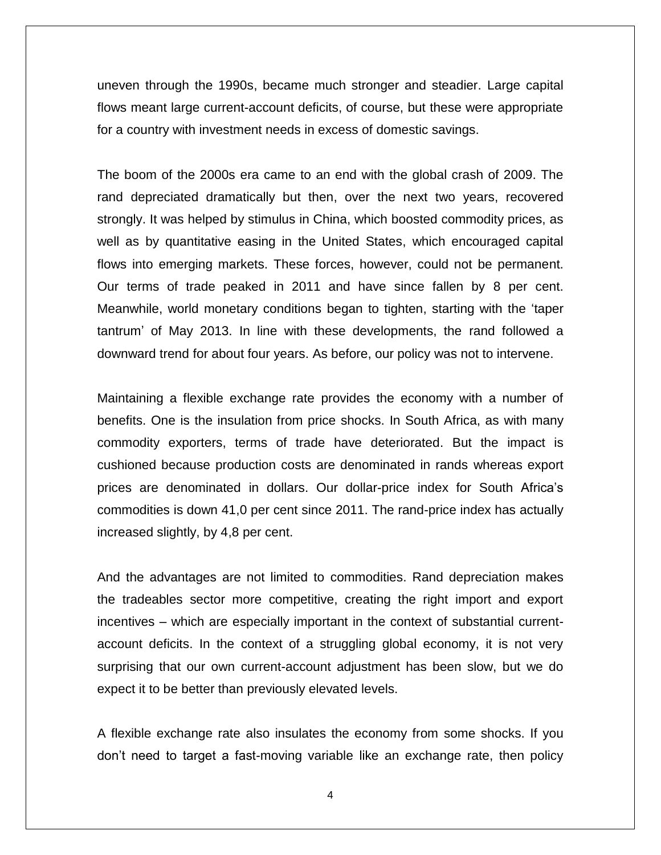uneven through the 1990s, became much stronger and steadier. Large capital flows meant large current-account deficits, of course, but these were appropriate for a country with investment needs in excess of domestic savings.

The boom of the 2000s era came to an end with the global crash of 2009. The rand depreciated dramatically but then, over the next two years, recovered strongly. It was helped by stimulus in China, which boosted commodity prices, as well as by quantitative easing in the United States, which encouraged capital flows into emerging markets. These forces, however, could not be permanent. Our terms of trade peaked in 2011 and have since fallen by 8 per cent. Meanwhile, world monetary conditions began to tighten, starting with the 'taper tantrum' of May 2013. In line with these developments, the rand followed a downward trend for about four years. As before, our policy was not to intervene.

Maintaining a flexible exchange rate provides the economy with a number of benefits. One is the insulation from price shocks. In South Africa, as with many commodity exporters, terms of trade have deteriorated. But the impact is cushioned because production costs are denominated in rands whereas export prices are denominated in dollars. Our dollar-price index for South Africa's commodities is down 41,0 per cent since 2011. The rand-price index has actually increased slightly, by 4,8 per cent.

And the advantages are not limited to commodities. Rand depreciation makes the tradeables sector more competitive, creating the right import and export incentives – which are especially important in the context of substantial currentaccount deficits. In the context of a struggling global economy, it is not very surprising that our own current-account adjustment has been slow, but we do expect it to be better than previously elevated levels.

A flexible exchange rate also insulates the economy from some shocks. If you don't need to target a fast-moving variable like an exchange rate, then policy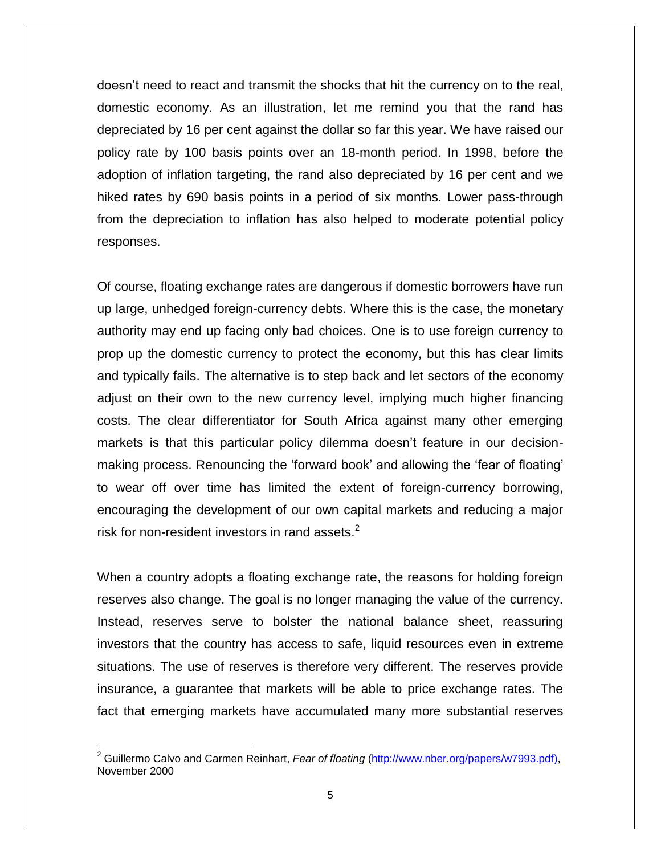doesn't need to react and transmit the shocks that hit the currency on to the real, domestic economy. As an illustration, let me remind you that the rand has depreciated by 16 per cent against the dollar so far this year. We have raised our policy rate by 100 basis points over an 18-month period. In 1998, before the adoption of inflation targeting, the rand also depreciated by 16 per cent and we hiked rates by 690 basis points in a period of six months. Lower pass-through from the depreciation to inflation has also helped to moderate potential policy responses.

Of course, floating exchange rates are dangerous if domestic borrowers have run up large, unhedged foreign-currency debts. Where this is the case, the monetary authority may end up facing only bad choices. One is to use foreign currency to prop up the domestic currency to protect the economy, but this has clear limits and typically fails. The alternative is to step back and let sectors of the economy adjust on their own to the new currency level, implying much higher financing costs. The clear differentiator for South Africa against many other emerging markets is that this particular policy dilemma doesn't feature in our decisionmaking process. Renouncing the 'forward book' and allowing the 'fear of floating' to wear off over time has limited the extent of foreign-currency borrowing, encouraging the development of our own capital markets and reducing a major risk for non-resident investors in rand assets. $2$ 

When a country adopts a floating exchange rate, the reasons for holding foreign reserves also change. The goal is no longer managing the value of the currency. Instead, reserves serve to bolster the national balance sheet, reassuring investors that the country has access to safe, liquid resources even in extreme situations. The use of reserves is therefore very different. The reserves provide insurance, a guarantee that markets will be able to price exchange rates. The fact that emerging markets have accumulated many more substantial reserves

l

<sup>2</sup> Guillermo Calvo and Carmen Reinhart, *Fear of floating* [\(http://www.nber.org/papers/w7993.pdf\)](http://www.nber.org/papers/w7993.pdf), November 2000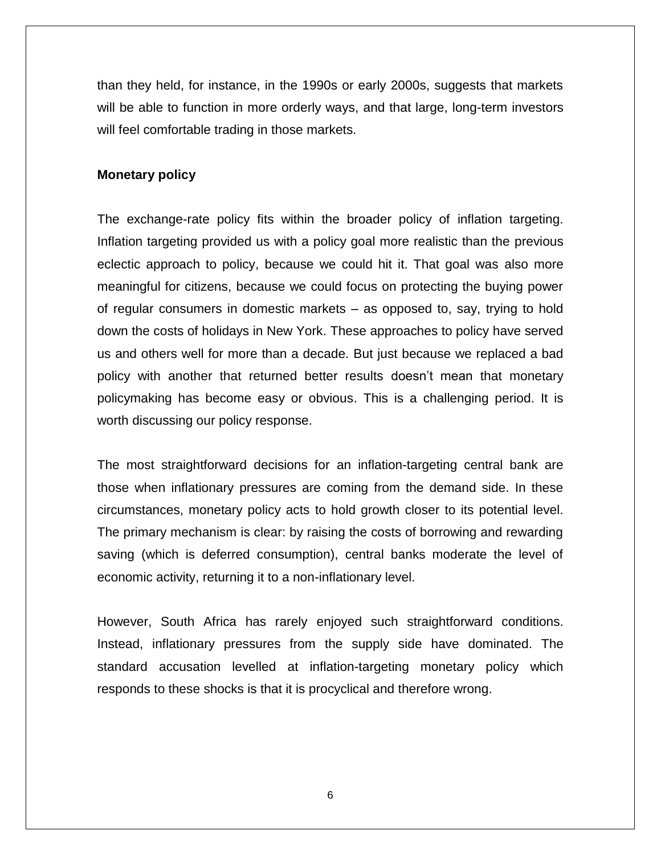than they held, for instance, in the 1990s or early 2000s, suggests that markets will be able to function in more orderly ways, and that large, long-term investors will feel comfortable trading in those markets.

### **Monetary policy**

The exchange-rate policy fits within the broader policy of inflation targeting. Inflation targeting provided us with a policy goal more realistic than the previous eclectic approach to policy, because we could hit it. That goal was also more meaningful for citizens, because we could focus on protecting the buying power of regular consumers in domestic markets – as opposed to, say, trying to hold down the costs of holidays in New York. These approaches to policy have served us and others well for more than a decade. But just because we replaced a bad policy with another that returned better results doesn't mean that monetary policymaking has become easy or obvious. This is a challenging period. It is worth discussing our policy response.

The most straightforward decisions for an inflation-targeting central bank are those when inflationary pressures are coming from the demand side. In these circumstances, monetary policy acts to hold growth closer to its potential level. The primary mechanism is clear: by raising the costs of borrowing and rewarding saving (which is deferred consumption), central banks moderate the level of economic activity, returning it to a non-inflationary level.

However, South Africa has rarely enjoyed such straightforward conditions. Instead, inflationary pressures from the supply side have dominated. The standard accusation levelled at inflation-targeting monetary policy which responds to these shocks is that it is procyclical and therefore wrong.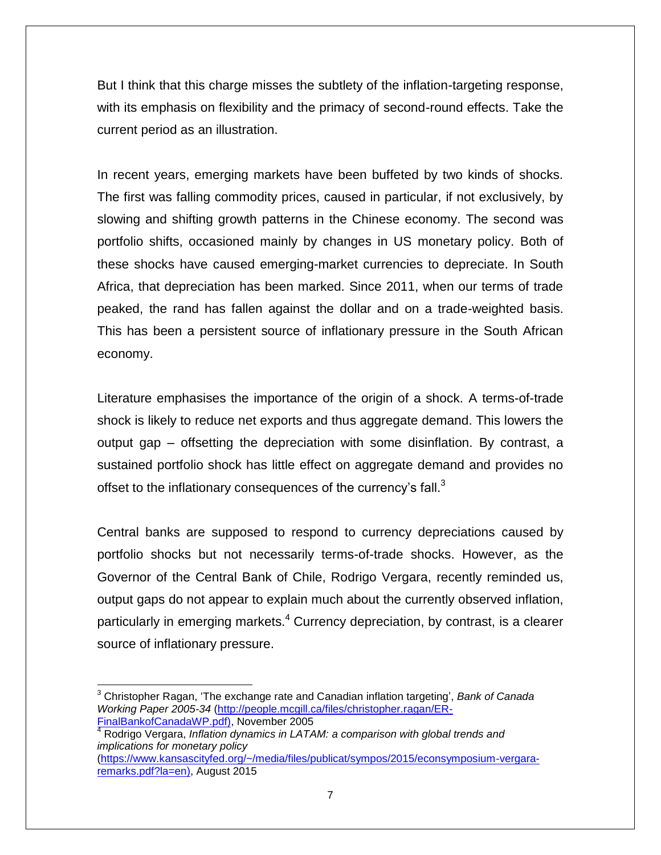But I think that this charge misses the subtlety of the inflation-targeting response, with its emphasis on flexibility and the primacy of second-round effects. Take the current period as an illustration.

In recent years, emerging markets have been buffeted by two kinds of shocks. The first was falling commodity prices, caused in particular, if not exclusively, by slowing and shifting growth patterns in the Chinese economy. The second was portfolio shifts, occasioned mainly by changes in US monetary policy. Both of these shocks have caused emerging-market currencies to depreciate. In South Africa, that depreciation has been marked. Since 2011, when our terms of trade peaked, the rand has fallen against the dollar and on a trade-weighted basis. This has been a persistent source of inflationary pressure in the South African economy.

Literature emphasises the importance of the origin of a shock. A terms-of-trade shock is likely to reduce net exports and thus aggregate demand. This lowers the output gap – offsetting the depreciation with some disinflation. By contrast, a sustained portfolio shock has little effect on aggregate demand and provides no offset to the inflationary consequences of the currency's fall. $^3$ 

Central banks are supposed to respond to currency depreciations caused by portfolio shocks but not necessarily terms-of-trade shocks. However, as the Governor of the Central Bank of Chile, Rodrigo Vergara, recently reminded us, output gaps do not appear to explain much about the currently observed inflation, particularly in emerging markets.<sup>4</sup> Currency depreciation, by contrast, is a clearer source of inflationary pressure.

 $\overline{\phantom{a}}$ 

<sup>3</sup> Christopher Ragan, 'The exchange rate and Canadian inflation targeting', *Bank of Canada Working Paper 2005-34* [\(http://people.mcgill.ca/files/christopher.ragan/ER-](http://people.mcgill.ca/files/christopher.ragan/ER-FinalBankofCanadaWP.pdf)[FinalBankofCanadaWP.pdf\)](http://people.mcgill.ca/files/christopher.ragan/ER-FinalBankofCanadaWP.pdf), November 2005

<sup>4</sup> Rodrigo Vergara, *Inflation dynamics in LATAM: a comparison with global trends and implications for monetary policy*

[<sup>\(</sup>https://www.kansascityfed.org/~/media/files/publicat/sympos/2015/econsymposium-vergara](https://www.kansascityfed.org/~/media/files/publicat/sympos/2015/econsymposium-vergara-remarks.pdf?la=en)[remarks.pdf?la=en\)](https://www.kansascityfed.org/~/media/files/publicat/sympos/2015/econsymposium-vergara-remarks.pdf?la=en), August 2015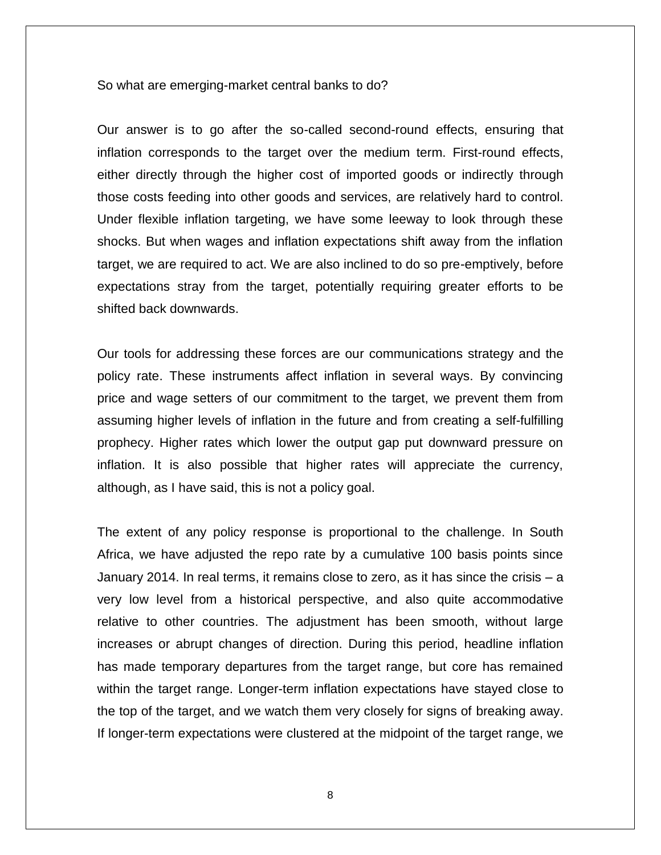So what are emerging-market central banks to do?

Our answer is to go after the so-called second-round effects, ensuring that inflation corresponds to the target over the medium term. First-round effects, either directly through the higher cost of imported goods or indirectly through those costs feeding into other goods and services, are relatively hard to control. Under flexible inflation targeting, we have some leeway to look through these shocks. But when wages and inflation expectations shift away from the inflation target, we are required to act. We are also inclined to do so pre-emptively, before expectations stray from the target, potentially requiring greater efforts to be shifted back downwards.

Our tools for addressing these forces are our communications strategy and the policy rate. These instruments affect inflation in several ways. By convincing price and wage setters of our commitment to the target, we prevent them from assuming higher levels of inflation in the future and from creating a self-fulfilling prophecy. Higher rates which lower the output gap put downward pressure on inflation. It is also possible that higher rates will appreciate the currency, although, as I have said, this is not a policy goal.

The extent of any policy response is proportional to the challenge. In South Africa, we have adjusted the repo rate by a cumulative 100 basis points since January 2014. In real terms, it remains close to zero, as it has since the crisis – a very low level from a historical perspective, and also quite accommodative relative to other countries. The adjustment has been smooth, without large increases or abrupt changes of direction. During this period, headline inflation has made temporary departures from the target range, but core has remained within the target range. Longer-term inflation expectations have stayed close to the top of the target, and we watch them very closely for signs of breaking away. If longer-term expectations were clustered at the midpoint of the target range, we

8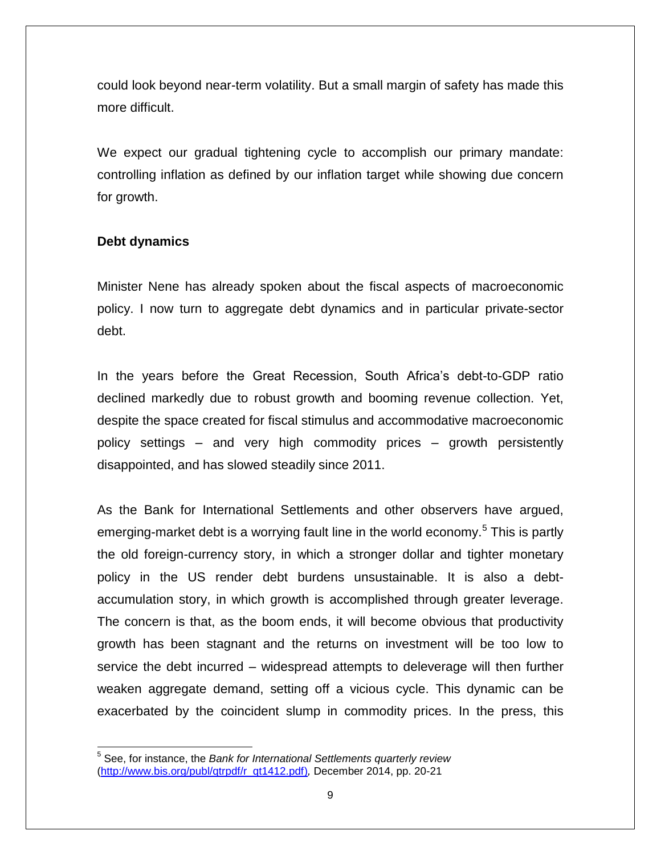could look beyond near-term volatility. But a small margin of safety has made this more difficult.

We expect our gradual tightening cycle to accomplish our primary mandate: controlling inflation as defined by our inflation target while showing due concern for growth.

## **Debt dynamics**

Minister Nene has already spoken about the fiscal aspects of macroeconomic policy. I now turn to aggregate debt dynamics and in particular private-sector debt.

In the years before the Great Recession, South Africa's debt-to-GDP ratio declined markedly due to robust growth and booming revenue collection. Yet, despite the space created for fiscal stimulus and accommodative macroeconomic policy settings – and very high commodity prices – growth persistently disappointed, and has slowed steadily since 2011.

As the Bank for International Settlements and other observers have argued, emerging-market debt is a worrying fault line in the world economy.<sup>5</sup> This is partly the old foreign-currency story, in which a stronger dollar and tighter monetary policy in the US render debt burdens unsustainable. It is also a debtaccumulation story, in which growth is accomplished through greater leverage. The concern is that, as the boom ends, it will become obvious that productivity growth has been stagnant and the returns on investment will be too low to service the debt incurred – widespread attempts to deleverage will then further weaken aggregate demand, setting off a vicious cycle. This dynamic can be exacerbated by the coincident slump in commodity prices. In the press, this

 5 See, for instance, the *Bank for International Settlements quarterly review* [\(http://www.bis.org/publ/qtrpdf/r\\_qt1412.pdf\)](http://www.bis.org/publ/qtrpdf/r_qt1412.pdf)*,* December 2014, pp. 20-21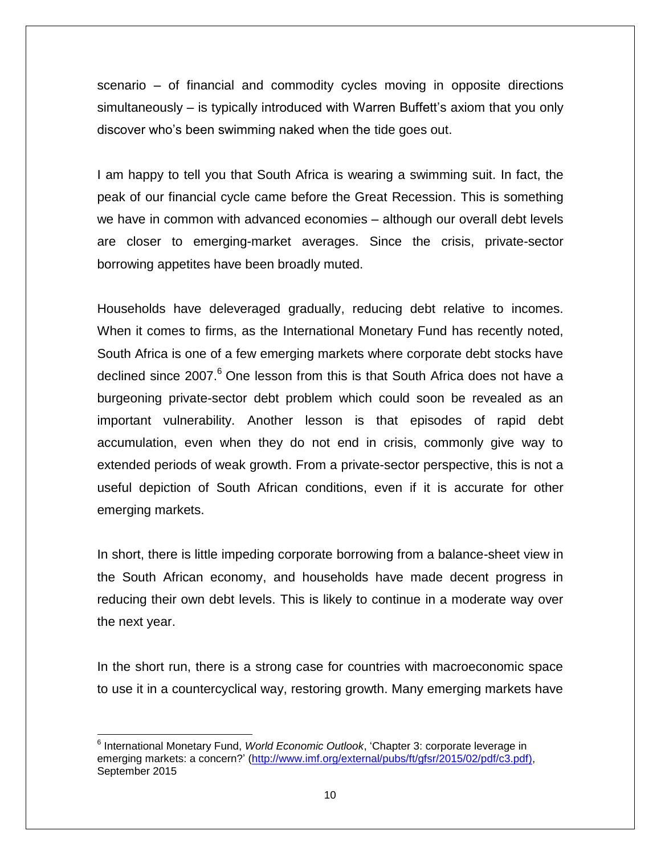scenario – of financial and commodity cycles moving in opposite directions simultaneously – is typically introduced with Warren Buffett's axiom that you only discover who's been swimming naked when the tide goes out.

I am happy to tell you that South Africa is wearing a swimming suit. In fact, the peak of our financial cycle came before the Great Recession. This is something we have in common with advanced economies – although our overall debt levels are closer to emerging-market averages. Since the crisis, private-sector borrowing appetites have been broadly muted.

Households have deleveraged gradually, reducing debt relative to incomes. When it comes to firms, as the International Monetary Fund has recently noted, South Africa is one of a few emerging markets where corporate debt stocks have declined since 2007.<sup>6</sup> One lesson from this is that South Africa does not have a burgeoning private-sector debt problem which could soon be revealed as an important vulnerability. Another lesson is that episodes of rapid debt accumulation, even when they do not end in crisis, commonly give way to extended periods of weak growth. From a private-sector perspective, this is not a useful depiction of South African conditions, even if it is accurate for other emerging markets.

In short, there is little impeding corporate borrowing from a balance-sheet view in the South African economy, and households have made decent progress in reducing their own debt levels. This is likely to continue in a moderate way over the next year.

In the short run, there is a strong case for countries with macroeconomic space to use it in a countercyclical way, restoring growth. Many emerging markets have

 $\overline{\phantom{a}}$ 6 International Monetary Fund, *World Economic Outlook*, 'Chapter 3: corporate leverage in emerging markets: a concern?' (http://www.imf.org/external/pubs/ft/qfsr/2015/02/pdf/c3.pdf), September 2015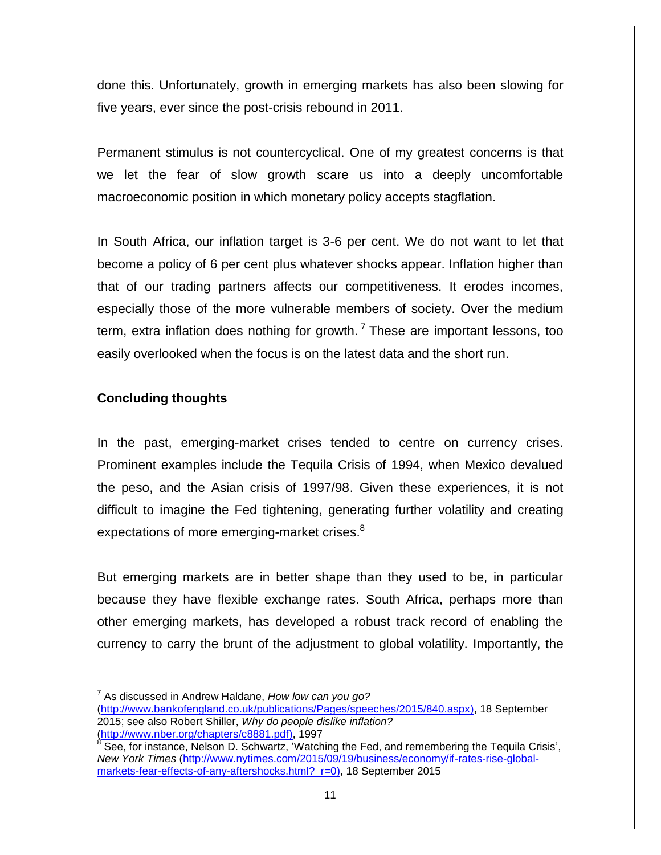done this. Unfortunately, growth in emerging markets has also been slowing for five years, ever since the post-crisis rebound in 2011.

Permanent stimulus is not countercyclical. One of my greatest concerns is that we let the fear of slow growth scare us into a deeply uncomfortable macroeconomic position in which monetary policy accepts stagflation.

In South Africa, our inflation target is 3-6 per cent. We do not want to let that become a policy of 6 per cent plus whatever shocks appear. Inflation higher than that of our trading partners affects our competitiveness. It erodes incomes, especially those of the more vulnerable members of society. Over the medium term, extra inflation does nothing for growth.<sup>7</sup> These are important lessons, too easily overlooked when the focus is on the latest data and the short run.

## **Concluding thoughts**

In the past, emerging-market crises tended to centre on currency crises. Prominent examples include the Tequila Crisis of 1994, when Mexico devalued the peso, and the Asian crisis of 1997/98. Given these experiences, it is not difficult to imagine the Fed tightening, generating further volatility and creating expectations of more emerging-market crises.<sup>8</sup>

But emerging markets are in better shape than they used to be, in particular because they have flexible exchange rates. South Africa, perhaps more than other emerging markets, has developed a robust track record of enabling the currency to carry the brunt of the adjustment to global volatility. Importantly, the

 $\overline{a}$ 7 As discussed in Andrew Haldane, *How low can you go?*

[<sup>\(</sup>http://www.bankofengland.co.uk/publications/Pages/speeches/2015/840.aspx\)](http://www.bankofengland.co.uk/publications/Pages/speeches/2015/840.aspx), 18 September 2015; see also Robert Shiller, *Why do people dislike inflation?*

<sup>(&</sup>lt;u>http://www.nber.org/chapters/c8881.pdf)</u>, 1997<br><sup>8</sup> See, for instance, Nelson D. Schwartz, 'Watching the Fed, and remembering the Tequila Crisis', *New York Times* [\(http://www.nytimes.com/2015/09/19/business/economy/if-rates-rise-global](http://www.nytimes.com/2015/09/19/business/economy/if-rates-rise-global-markets-fear-effects-of-any-aftershocks.html?_r=0)markets-fear-effects-of-any-aftershocks.html? r=0), 18 September 2015